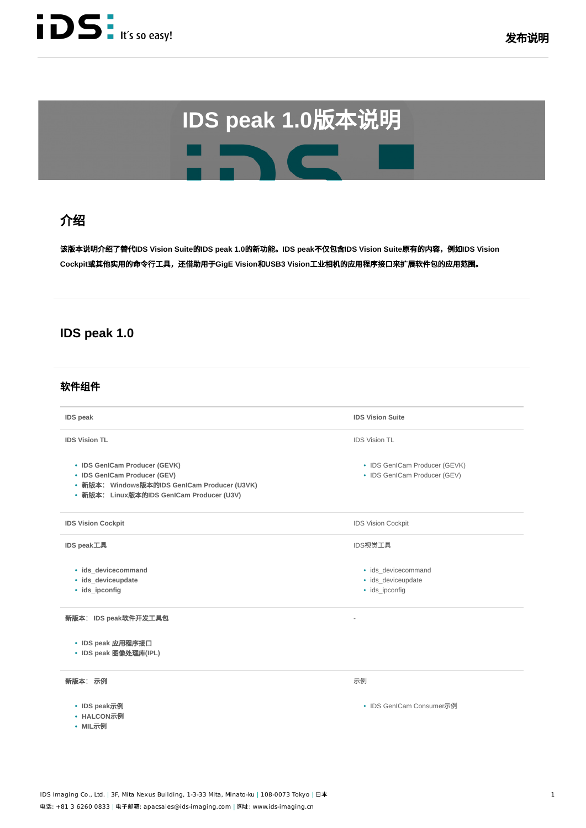

# 绍

该说绍替代**IDS Vision Suite**的**IDS peak 1.0**的功。**IDS peak**不**IDS Vision Suite**有的内,**IDS Vision Cockpit**或其他⽤的⾏⼯,还助⽤于**GigE Vision**和**USB3 Vision**⼯业相的应⽤⼝来扩软件的应⽤范围。

## **IDS peak 1.0**

## 软件组件

| <b>IDS</b> peak                                                                                                                                            | <b>IDS Vision Suite</b>                                       |
|------------------------------------------------------------------------------------------------------------------------------------------------------------|---------------------------------------------------------------|
| <b>IDS Vision TL</b>                                                                                                                                       | <b>IDS Vision TL</b>                                          |
| • IDS GenICam Producer (GEVK)<br>• IDS GenICam Producer (GEV)<br>• 新版本: Windows版本的IDS GenICam Producer (U3VK)<br>• 新版本: Linux版本的IDS GenICam Producer (U3V) | • IDS GenICam Producer (GEVK)<br>• IDS GenICam Producer (GEV) |
| <b>IDS Vision Cockpit</b>                                                                                                                                  | <b>IDS Vision Cockpit</b>                                     |
| IDS peak工具                                                                                                                                                 | IDS视觉工具                                                       |
| · ids devicecommand<br>· ids_deviceupdate<br>• ids_ipconfig                                                                                                | · ids_devicecommand<br>· ids deviceupdate<br>· ids ipconfig   |
| 新版本: IDS peak软件开发工具包                                                                                                                                       |                                                               |
| • IDS peak 应用程序接口<br>• IDS peak 图像处理库(IPL)                                                                                                                 |                                                               |
| 新版本: 示例                                                                                                                                                    | 示例                                                            |
| • IDS peak示例<br>• HALCON示例<br>• MIL示例                                                                                                                      | • IDS GenICam Consumer示例                                      |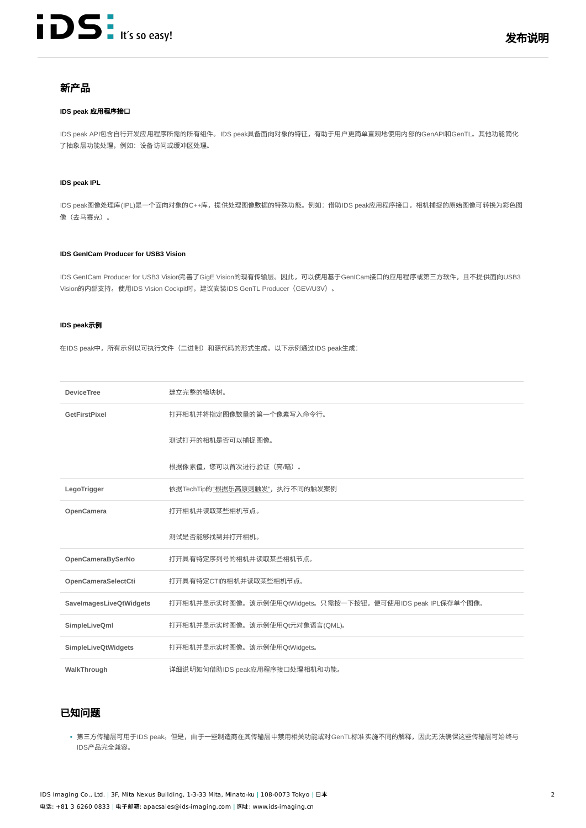

## 新产品

#### **IDS peak 应用程序接口**

IDS peak API包含自行开发应用程序所需的所有组件。IDS peak具备面向对象的特征,有助于用户更简单直观地使用内部的GenAPI和GenTL。其他功能简化 了抽象层功能处理,例如:设备访问或缓冲区处理。

#### **IDS peak IPL**

IDS peak图像处理库(IPL)是一个面向对象的C++库,提供处理图像数据的特殊功能。例如:借助IDS peak应用程序接口,相机捕捉的原始图像可转换为彩色图 像(去马赛克)。

#### **IDS GenICam Producer for USB3 Vision**

IDS GenICam Producer for USB3 Vision完善了GigE Vision的现有传输层。因此,可以使用基于GenICam接口的应用程序或第三方软件,且不提供面向USB3 Vision的内部支持。使用IDS Vision Cockpit时, 建议安装IDS GenTL Producer(GEV/U3V)。

#### **IDS peak示例**

在IDS peak中,所有示例以可执行文件(二进制)和源代码的形式生成。以下示例通过IDS peak生成:

| <b>DeviceTree</b>          | 建立完整的模块树。                                                  |
|----------------------------|------------------------------------------------------------|
| GetFirstPixel              | 打开相机并将指定图像数量的第一个像素写入命令行。                                   |
|                            | 测试打开的相机是否可以捕捉图像。                                           |
|                            | 根据像素值,您可以首次进行验证(亮/暗)。                                      |
| LegoTrigger                | 依据TechTip的"根据乐高原则触发", 执行不同的触发案例                            |
| OpenCamera                 | 打开相机并读取某些相机节点。                                             |
|                            | 测试是否能够找到并打开相机。                                             |
| OpenCameraBySerNo          | 打开具有特定序列号的相机并读取某些相机节点。                                     |
| OpenCameraSelectCti        | 打开具有特定CTI的相机并读取某些相机节点。                                     |
| SaveImagesLiveQtWidgets    | 打开相机并显示实时图像。该示例使用QtWidgets。只需按一下按钮,便可使用IDS peak IPL保存单个图像。 |
| SimpleLiveQml              | 打开相机并显示实时图像。该示例使用Qt元对象语言(QML)。                             |
| <b>SimpleLiveQtWidgets</b> | 打开相机并显示实时图像。该示例使用QtWidgets。                                |
| WalkThrough                | 详细说明如何借助IDS peak应用程序接口处理相机和功能。                             |

### 已知问题

• 第三方传输层可用于IDS peak。但是,由于一些制造商在其传输层中禁用相关功能或对GenTL标准实施不同的解释,因此无法确保这些传输层可始终与 IDS产品完全兼容。